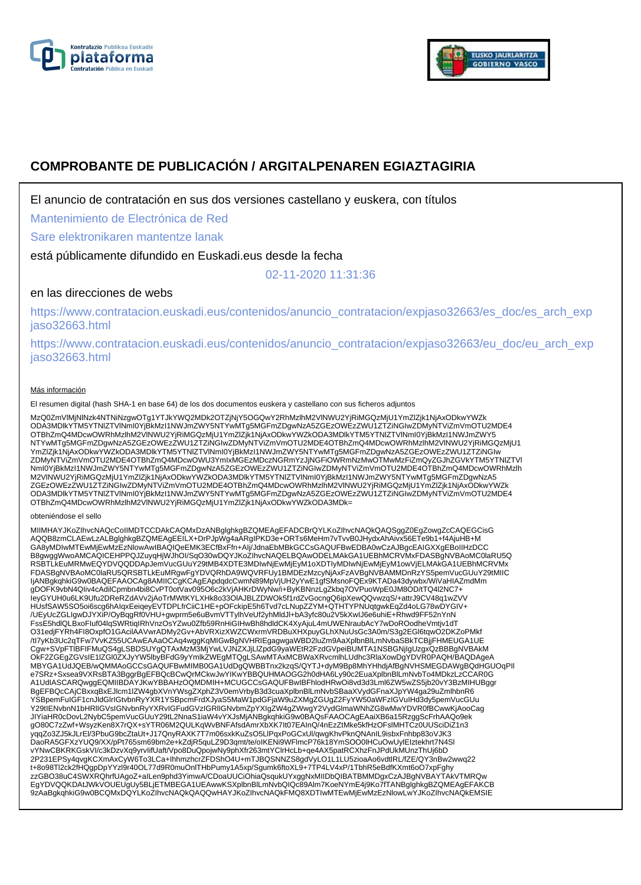



# **COMPROBANTE DE PUBLICACIÓN / ARGITALPENAREN EGIAZTAGIRIA**

El anuncio de contratación en sus dos versiones castellano y euskera, con títulos

Mantenimiento de Electrónica de Red

Sare elektronikaren mantentze lanak

está públicamente difundido en Euskadi.eus desde la fecha

02-11-2020 11:31:36

# en las direcciones de webs

https://www.contratacion.euskadi.eus/contenidos/anuncio\_contratacion/expjaso32663/es\_doc/es\_arch\_exp jaso32663.html

https://www.contratacion.euskadi.eus/contenidos/anuncio\_contratacion/expjaso32663/eu\_doc/eu\_arch\_exp jaso32663.html

### Más información

El resumen digital (hash SHA-1 en base 64) de los dos documentos euskera y castellano con sus ficheros adjuntos

MzQ0ZmVlMjNlNzk4NTNiNzgwOTg1YTJkYWQ2MDk2OTZjNjY5OGQwY2RhMzlhM2VlNWU2YjRiMGQzMjU1YmZlZjk1NjAxODkwYWZk ODA3MDlkYTM5YTNlZTVlNmI0YjBkMzI1NWJmZWY5NTYwMTg5MGFmZDgwNzA5ZGEzOWEzZWU1ZTZiNGIwZDMyNTViZmVmOTU2MDE4 OTBhZmQ4MDcwOWRhMzlhM2VlNWU2YjRiMGQzMjU1YmZlZjk1NjAxODkwYWZkODA3MDlkYTM5YTNlZTVlNml0YjBkMzI1NWJmZWY5<br>NTYwMTg5MGFmZDgwNzA5ZGEzOWEzZWU1ZTZiNGIwZDMyNTViZmVmOTU2MDE4OTBhZmQ4MDcwOWRhMzlhM2VlNWU2YjRiMGQzMjU1 YmZlZjk1NjAxODkwYWZkODA3MDlkYTM5YTNlZTVlNmI0YjBkMzI1NWJmZWY5NTYwMTg5MGFmZDgwNzA5ZGEzOWEzZWU1ZTZiNGIw ZDMyNTViZmVmOTU2MDE4OTBhZmQ4MDcwOWU3YmIxMGEzMDczNGRmYzJjNGFiOWRmNzMwOTMwMzFiZmQyZGJhZGVkYTM5YTNlZTVl NmI0YjBkMzI1NWJmZWY5NTYwMTg5MGFmZDgwNzA5ZGEzOWEzZWU1ZTZiNGIwZDMyNTViZmVmOTU2MDE4OTBhZmQ4MDcwOWRhMzlh M2VlNWU2YjRiMGQzMjU1YmZlZjk1NjAxODkwYWZkODA3MDlkYTM5YTNlZTVlNmI0YjBkMzI1NWJmZWY5NTYwMTg5MGFmZDgwNzA5 ZGEzOWEzZWU1ZTZiNGIwZDMyNTViZmVmOTU2MDE4OTBhZmQ4MDcwOWRhMzlhM2VINWU2YjRiMGQzMjU1YmZlZjk1NjAxODkwYWZk<br>ODA3MDlkYTM5YTNIZTVINmI0YjBkMzI1NWJmZWY5NTYwMTg5MGFmZDgwNzA5ZGEzOWEzZWU1ZTZiNGIwZDMyNTViZmVmOTU2MDE4 OTBhZmQ4MDcwOWRhMzlhM2VlNWU2YjRiMGQzMjU1YmZlZjk1NjAxODkwYWZkODA3MDk=

#### obteniéndose el sello

MIIMHAYJKoZIhvcNAQcCoIIMDTCCDAkCAQMxDzANBglghkgBZQMEAgEFADCBrQYLKoZIhvcNAQkQAQSggZ0EgZowgZcCAQEGCisG<br>AQQB8zmCLAEwLzALBglghkgBZQMEAgEEILX+DrPJpWg4aARgIPKD3e+ORTs6MeHm7vTvvB0JHydxAhAivx56ETe9b1+f4AjuHB+M<br>GA8yMDIwMTEwMjEwMzEz RSBTLkEuMRMwEQYDVQQDDApJemVucGUuY29tMB4XDTE3MDIwNjEwMjEyM1oXDTIyMDIwNjEwMjEyM1owVjELMAkGA1UEBhMCRVMx FDASBgNVBAoMC0laRU5QRSBTLkEuMRgwFgYDVQRhDA9WQVRFUy1BMDEzMzcyNjAxFzAVBgNVBAMMDnRzYS5pemVucGUuY29tMIIC IjANBgkqhkiG9w0BAQEFAAOCAg8AMIICCgKCAgEApdqdcCwmN89MpVjUH2yYwE1gfSMsnoFQEx9KTADa43dywbx/WiVaHIAZmdMm gDOFK9vbN4QIiv4cAdilCpmbn4bi8CvPT0otVav095O6c2kVjAHKrDWyNw/i+ByKBNnzLgZkbq7OVPuoWpE0JM8OD/tTQ4l2NC7+ IeyGYUH0u6LK9Ufu2DReRZdAVv2jAoTrMWtKYLXHk8o33OlAJBLZDWOk5f1rdZvGocngQ6ipXewQQvwzqS/+attrJ9CV48q1wZVV HUsfSAW5SO5oi6scg6hAIqxEeiqeyEVTDPLfrCiiC1HE+pOFckipE5h6Tvd7cLNupZZYM+QTHTYPNUqtgwkEqZd4oLG78wDYGIV+ /UEyUcZGLIgwDJYXiP/OyBqgRf0VHU+gwprm5e6uBvmVTTylhVeUf2yhMldJl+bA3yfc80u2V5kXwIJ6e6uhiE+Rhwd9FF52nYnN<br>FssE5hdlQLBxoFluf04lqSWRtiqIRhVnzOsYZwu0Zfb59RnHiGIHwBh8hdldCK4XyAjuL4mUWENraubAcY7wDoROodheVmtjv1dT O31edjFYRh4FI8OxpfO1GAcilAAVwrADMy2Gv+AbVRXizXWZCWxrmVRDBuXHXpuyGLhXNuUsGc3A0m/S3g2EGl6tqwO2DKZoPMkf /tI7yKb3Uc2qTFw7VvKZ55UCAwEAAaOCAq4wggKqMIGwBgNVHRIEgagwgaWBD2luZm9AaXplbnBlLmNvbaSBkTCBjjFHMEUGA1UE Cgw+SVpFTlBFIFMuQS4gLSBDSUYgQTAxMzM3MjYwLVJNZXJjLlZpdG9yaWEtR2FzdGVpeiBUMTA1NSBGNjIgUzgxQzBBBgNVBAkM OkF2ZGEgZGVsIE1lZGl0ZXJyYW5lbyBFdG9yYmlkZWEgMTQgLSAwMTAxMCBWaXRvcmlhLUdhc3RlaXowDgYDVR0PAQH/BAQDAgeA MBYGA1UdJQEB/wQMMAoGCCsGAQUFBwMIMB0GA1UdDgQWBBTnx2kzqS/QYTJ+dyM9Bp8MhYHhdjAfBgNVHSMEGDAWgBQdHGUOqPII<br>e7SRz+Sxsea9VXRsBTA3BggrBgEFBQcBCwQrMCkwJwYIKwYBBQUHMAOGG2h0dHA6Ly90c2EuaXplbnBlLmNvbTo4MDkzLzCCAR0G A1UdIASCARQwggEQMIIBDAYJKwYBBAHzOQMDMIH+MCUGCCsGAQUFBwIBFhlodHRwOi8vd3d3Lml6ZW5wZS5jb20vY3BzMIHUBggr BgEFBQcCAjCBxxqBxEJlcm1lZW4gbXVnYWsgZXphZ3V0emVrbyB3d3cuaXplbnBlLmNvbSBaaXVydGFnaXJpYW4ga29uZmlhbnR6 YSBpemFuIGF1cnJldGlrIGtvbnRyYXR1YSBpcmFrdXJyaS5MaW1pdGFjaW9uZXMgZGUgZ2FyYW50aWFzIGVuIHd3dy5pemVucGUu<br>Y29tIENvbnN1bHRIIGVsIGNvbnRyYXRvIGFudGVzIGRIIGNvbmZpYXIgZW4gZWwgY2VydGlmaWNhZG8wMwYDVR0fBCwwKjAooCag JIYiaHR0cDovL2NybC5pemVucGUuY29tL2NnaS1iaW4vYXJsMjANBgkqhkiG9w0BAQsFAAOCAgEAaiXB6a15RzggScFrhAAQo9ek gO80C7zZwf+WsyzKen8X7rQX+sYTR06M2QULKqWvBNFAfsdAmrXbXK7It07EAInQ/4nEzZtMke5kfHzOFslMHTCz0UUSciDiZ1n3 yqqZo3ZJ5kJLrEl/3PbuG9bcZtaUt+J17QnyRAXK7T7m06sxkKuZsO5LlPqxPoGCxUl/qwgKhvPknQNAnIL9isbxFnhbp83oVJK3<br>DaoRA5GFXzYUQ9/XX/pPt765sm69bm2e+kZdjR5quLZ9D3qmt/te/oIKENi9WFlmcP76k18YmSOO0lHCuOwUylEIztekhrt7N4Sl vYNwCBKRKGskVI/c3kDzvXq9yrvIifUaft/Vpo8DuQpojwNy9phXfr263mtYClrHcLb+qe4AX5patRCXhzFnJPdUkMUnzThUj6bD 2P231EPSy4qvgKCXmAxCyW6To3LCa+IhhmzhcrZFDShO4U+mTJBQSNNZS8gdVyLO1L1LU5zioaAo6vdtlRL/fZE/QY3nBw2wwq22 t+8o98Tl2ck2fHQgpDpYYzl9r40OL77d9R0muOnlTHbPumy1A5xp/Sgumk6ftoXL9+7TP4LV4xP/1TbhR5eBdfKXmt6oO7xpFghy zzGBO38uC4SWXRQhrfUAgoZ+aILen9phd3YimwA/CDoaUUCiOhiaQsqukUYxggNxMIIDbQIBATBMMDgxCzAJBgNVBAYTAkVTMRQw EgYDVQQKDAtJWkVOUEUgUy5BLjETMBEGA1UEAwwKSXplbnBlLmNvbQIQc89Alm7KoeNYmE4j9Ko7fTANBglghkgBZQMEAgEFAKCB 9zAaBgkqhkiG9w0BCQMxDQYLKoZIhvcNAQkQAQQwHAYJKoZIhvcNAQkFMQ8XDTIwMTEwMjEwMzEzNlowLwYJKoZIhvcNAQkEMSIE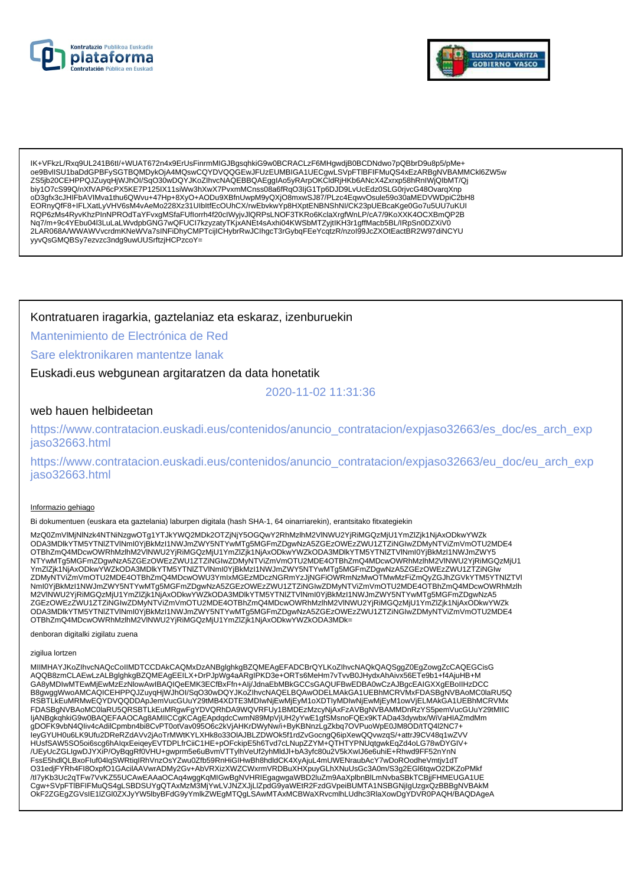



IK+VFkzL/Rxq9UL241B6tl/+WUAT672n4x9ErUsFinrmMIGJBgsqhkiG9w0BCRACLzF6MHgwdjB0BCDNdwo7pQBbrD9u8p5/pMe+ 0e9BvlISU1baDdGPBFySGTBQMDykOjA4MQswCQYDVQQGEwJFUzEUMBIGA1UECqwLSVpFTIBFIFMuQS4xEzARBqNVBAMMCkl6ZW5w ZS5jb20CEHPPQJZuyqHjWJhOl/SqO30wDQYJKoZlhvcNAQEBBQAEgglAo5yRArpOKCldRjHKb6ANcX4Zxrxp58hRnlWjQlbMT/Qj biy1O7cS99Q/nXfVAP6cPX5KE7P125IX11siWw3hXwX7PvxmMCnss08a6fRqO3ljG1Tp6DJD9LvUcEdz0SLG0rjvcG48OvarqXnp oD3gfx3cJHIFbAVIMva1thu6QWvu+47Hp+8XyO+AODu9XBfnUwpM9yQXjO8mxwSJ87/PLzc4EqwvOsule59o30aMEDVWDpiC2bH8 EORnyQfF8+IFLXatLyVHV6sM4vAeMo228Xz31UIbltfEcOUhCX/rwEbvkwYp8HXptENBNShNI/CK23pUEBcaKge0Go7u5UU7uKUI RQP6zMs4RyvKhzPInNPROdTaYFvxgMSfaFUflorrh4f20clWyjvJlQRPsLNOF3TKRo6KclaXrgfWnLP/cA7/9KoXXK4OCXBmQP2B Nq7/m+9c4YEbu04I3LuLaLWvdpbGNG7wQFUCI7kzyzatyTKjxANEt4sAxhi04KWSbMTZyjtIKH3r1gffMacb5BL/IRpSn0DZXiV0 2LAR068A/WWAWVvcrdmKNeWVa7sINFiDhyCMPTcijICHybrRwJCIhgcT3rGybqFEeYcqtzR/nzol99JcZXOtEactBR2W97diNCYU yyvQsGMQBSy7ezvzc3ndg9uwUUSrftzjHCPzcoY=

Kontratuaren iragarkia, gaztelaniaz eta eskaraz, izenburuekin

Mantenimiento de Electrónica de Red

Sare elektronikaren mantentze lanak

Euskadi.eus webgunean argitaratzen da data honetatik

2020-11-02 11:31:36

# web hauen helbideetan

https://www.contratacion.euskadi.eus/contenidos/anuncio\_contratacion/expjaso32663/es\_doc/es\_arch\_exp jaso32663.html

https://www.contratacion.euskadi.eus/contenidos/anuncio\_contratacion/expjaso32663/eu\_doc/eu\_arch\_exp iaso32663.html

## Informazio gehiago

Bi dokumentuen (euskara eta gaztelania) laburpen digitala (hash SHA-1, 64 oinarriarekin), erantsitako fitxategiekin

MzQ0ZmVIMiNINzk4NTNiNzqwOTq1YTJkYWQ2MDk2OTZjNjY5OGQwY2RhMzIhM2VINWU2YjRiMGQzMjU1YmZlZjk1NjAxODkwYWZk www.amvinime.com/https//www.amvinime.com/state/amvinime.com/state/www.amvinime.com/state/www.amvinime.com/stat<br>ODA3MDIkYTMISYTNIZTVINmI0YjBkMzI1NWJmZWY5NTYwMTg5MGFmZDgwNzA5ZGEzOWEzZWU1ZTZiNGlwZDMyNTViZmVmOTU2MDE4<br>OTBhZmQ4M NTYwMTq5MGFmZDgwNzA5ZGEzOWEzZWU1ZTZiNGIwZDMyNTViZmVmOTU2MDE4OTBhZmQ4MDcwOWRhMzIhM2VINWU2YjRiMGQzMjU1 YmZlZjk1NjAxODkwYWZkODA3MDlkYTM5YTNIZTVINmI0YjBkMzI1NWJmZWY5NTYwMTg5MGFmZDgwNzA5ZGEzOWEzZWU1ZTZiNGlw ZDMyŃTViZmVmOTU2MDE4OTBhZmQ4MDcwOWU3YmlxMGEzMDczNGRmYzJjNGFiOWRmNzMwOTMwMzFiZmQyZGJhZGVkYTM5YTNIZTVI Nml0YjBkMz11NWJmZWY5NTYwMTg5MGFmZDgwNzA5ZGEzOWEzZWU1ZTZiNGlwZDMyNTViZmVmOTU2MDE4OTBhZmQ4MDcwOWRhMzlh<br>M2VINWU2YjRiMGQzMjU1YmZlZjk1NjAxODkwYWZkODA3MDlkYTM5YTNlZTVlNml0YjBkMzl1NWJmZWY5NTYwMTg5MGFmZDgwNzA5<br>ZGEzOWEzZWU1ZTZiNGlw 

denboran digitalki zigilatu zuena

zigilua lortzen

MIIMHAYJKoZIhvcNAQcCoIIMDTCCDAkCAQMxDzANBglghkgBZQMEAgEFADCBrQYLKoZIhvcNAQkQAQSggZ0EgZowgZcCAQEGCisG AQQB8zmCLAEwLzALBglghkgBZQMEAgEEILX+DrPJpWg4aARgIPKD3e+ORTs6MeHm7vTvvB0JHydxAhAivx56ETe9b1+f4AjuHB+M GA8yMDIwMTEwMjEwMzEzNIowAwIBAQIQeEMK3ECfBxFfn+Alj/JdnaEbMBkGCCsGAQUFBwEDBA0wCzAJBgcEAIGXXgEBoIIHzDCC B8gwggWwoAMCAQICEHPPQJZuyqHjWJhOI/SqO30wDQYJKoZIhvcNAQELBQAwODELMAkGA1UEBhMCRVMxFDASBgNVBAoMC0laRU5Q RSBTLKEuMRMwEQYDVQQDDApJemVucGUuY29tMB4XDTE3MDlwNjEwMjEyM1oXDTlyMDlwNjEwMjEyM1owVjELMAKGA1UEBhMCRVMx<br>FDASBgNVBAoMC0laRU5QRSBTLkEuMRgwFgYDVQRhDA9WQVRFUy1BMDEzMzcyNjAxFzAVBgNVBAMMDnRzYS5pemVucGUuY29tMIIC<br>IjANBgkqhkiG9w0BAQEF HUsfSAW5SO5oi6scg6hAlqxEeiqeyEVTDPLfrCiiC1HE+pOFckipE5h6Tvd7cLNupZZYM+QTHTYPNUqtgwkEqZd4oLG78wDYGIV+ /UEyUcZGLIgwDJYXiP/OyBqgRf0VHU+gwprm5e6uBvmVTTylhVeUf2yhMldJl+bA3yfc80u2V5kXwIJ6e6uhiE+Rhwd9FF52nYnN FssE5hdlQLBxoFluf04lqSWRtiqIRhVnzOsYZwu0Zfb59RnHiGIHwBh8hdldCK4XyAjuL4mUWENraubAcY7wDoROodheVmtjv1dT O31edjFYRh4Fl8OxpfO1GAcilAAVwrADMy2Gv+AbVRXizXWZCWxrmVRDBuXHXpuyGLhXNuUsGc3A0m/S3g2EGl6tqwO2DKZoPMkf OKF2ZGEgZGVsIE1IZGI0ZXJyYW5lbyBFdG9yYmlkZWEgMTQgLSAwMTAxMCBWaXRvcmlhLUdhc3RlaXowDgYDVR0PAQH/BAQDAgeA